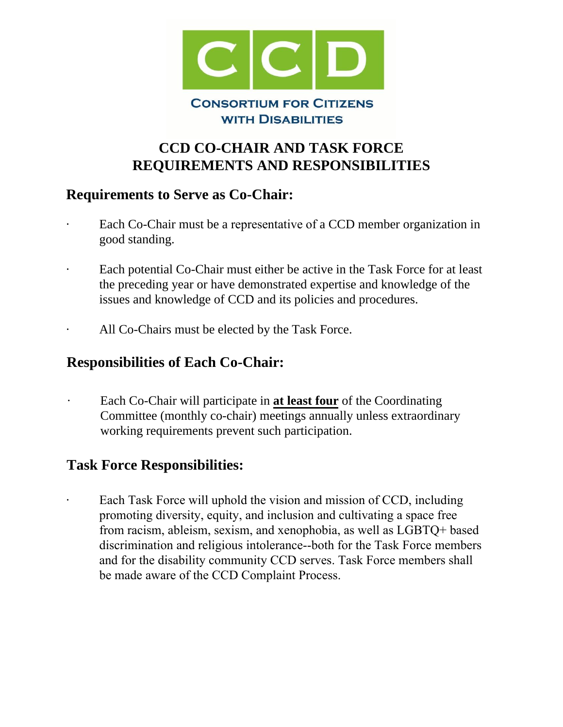

## **CCD CO-CHAIR AND TASK FORCE REQUIREMENTS AND RESPONSIBILITIES**

## **Requirements to Serve as Co-Chair:**

- Each Co-Chair must be a representative of a CCD member organization in good standing.
- Each potential Co-Chair must either be active in the Task Force for at least the preceding year or have demonstrated expertise and knowledge of the issues and knowledge of CCD and its policies and procedures.
- All Co-Chairs must be elected by the Task Force.

## **Responsibilities of Each Co-Chair:**

· Each Co-Chair will participate in **at least four** of the Coordinating Committee (monthly co-chair) meetings annually unless extraordinary working requirements prevent such participation.

## **Task Force Responsibilities:**

Each Task Force will uphold the vision and mission of CCD, including promoting diversity, equity, and inclusion and cultivating a space free from racism, ableism, sexism, and xenophobia, as well as LGBTQ+ based discrimination and religious intolerance--both for the Task Force members and for the disability community CCD serves. Task Force members shall be made aware of the CCD Complaint Process.